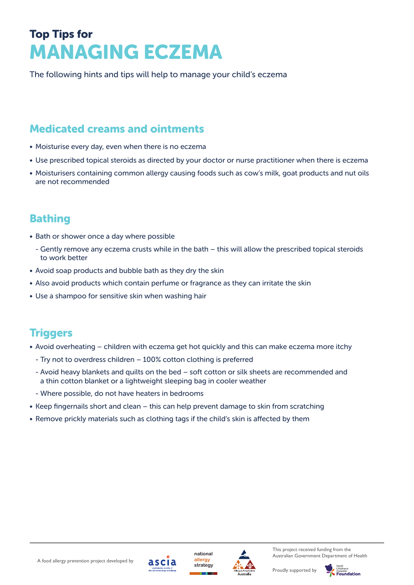# Top Tips for MANAGING ECZEMA

The following hints and tips will help to manage your child's eczema

## Medicated creams and ointments

- Moisturise every day, even when there is no eczema
- Use prescribed topical steroids as directed by your doctor or nurse practitioner when there is eczema
- Moisturisers containing common allergy causing foods such as cow's milk, goat products and nut oils are not recommended

## Bathing

- Bath or shower once a day where possible
	- Gently remove any eczema crusts while in the bath this will allow the prescribed topical steroids to work better
- Avoid soap products and bubble bath as they dry the skin
- Also avoid products which contain perfume or fragrance as they can irritate the skin
- Use a shampoo for sensitive skin when washing hair

### **Triggers**

- Avoid overheating children with eczema get hot quickly and this can make eczema more itchy
	- Try not to overdress children 100% cotton clothing is preferred
	- Avoid heavy blankets and quilts on the bed soft cotton or silk sheets are recommended and a thin cotton blanket or a lightweight sleeping bag in cooler weather
	- Where possible, do not have heaters in bedrooms
- • Keep fingernails short and clean this can help prevent damage to skin from scratching
- Remove prickly materials such as clothing tags if the child's skin is affected by them